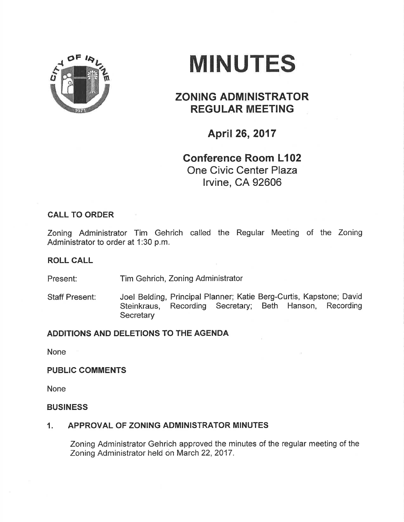

# MINUTES

# ZONING ADMINISTRATOR REGULAR MEETING

## April 26,2017

## Conference Room L102 One Civic Center Plaza lrvine, CA 92606

## CALL TO ORDER

Zoning Administrator Tim Gehrich called the Regular Meeting of the Zoning Administrator to order at 1:30 p.m.

#### ROLL CALL

Present: Tim Gehrich, Zoning Administrator

Staff Present: Joel Belding, Principal Planner; Katie Berg-Curtis, Kapstone; David Steinkraus, Recording Secretary; Beth Hanson, Recording **Secretary** 

## ADDITIONS AND DELETIONS TO THE AGENDA

None

#### PUBLIC COMMENTS

None

#### BUSINESS

## 1. APPROVAL OF ZONING ADMINISTRATOR MINUTES

Zoning Administrator Gehrich approved the minutes of the regular meeting of the Zoning Administrator held on March 22, 2017.